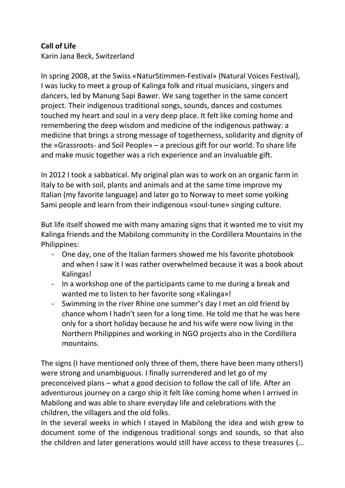## **Call of Life**

Karin Jana Beck, Switzerland

In spring 2008, at the Swiss «NaturStimmen-Festival» (Natural Voices Festival), I was lucky to meet a group of Kalinga folk and ritual musicians, singers and dancers, led by Manung Sapi Bawer. We sang together in the same concert project. Their indigenous traditional songs, sounds, dances and costumes touched my heart and soul in a very deep place. It felt like coming home and remembering the deep wisdom and medicine of the indigenous pathway: a medicine that brings a strong message of togetherness, solidarity and dignity of the «Grassroots- and Soil People» – a precious gift for our world. To share life and make music together was a rich experience and an invaluable gift.

In 2012 I took a sabbatical. My original plan was to work on an organic farm in Italy to be with soil, plants and animals and at the same time improve my Italian (my favorite language) and later go to Norway to meet some yoiking Sami people and learn from their indigenous «soul-tune» singing culture.

But life itself showed me with many amazing signs that it wanted me to visit my Kalinga friends and the Mabilong community in the Cordillera Mountains in the Philippines:

- One day, one of the Italian farmers showed me his favorite photobook and when I saw it I was rather overwhelmed because it was a book about Kalingas!
- In a workshop one of the participants came to me during a break and wanted me to listen to her favorite song «Kalinga»!
- Swimming in the river Rhine one summer's day I met an old friend by chance whom I hadn't seen for a long time. He told me that he was here only for a short holiday because he and his wife were now living in the Northern Philippines and working in NGO projects also in the Cordillera mountains.

The signs (I have mentioned only three of them, there have been many others!) were strong and unambiguous. I finally surrendered and let go of my preconceived plans – what a good decision to follow the call of life. After an adventurous journey on a cargo ship it felt like coming home when I arrived in Mabilong and was able to share everyday life and celebrations with the children, the villagers and the old folks.

In the several weeks in which I stayed in Mabilong the idea and wish grew to document some of the indigenous traditional songs and sounds, so that also the children and later generations would still have access to these treasures (…